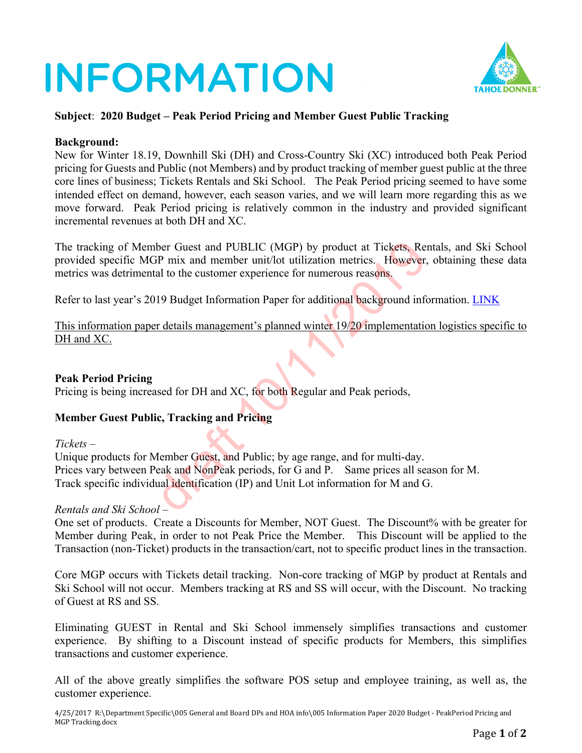# **INFORMATION**



## **Subject**: **2020 Budget – Peak Period Pricing and Member Guest Public Tracking**

#### **Background:**

New for Winter 18.19, Downhill Ski (DH) and Cross-Country Ski (XC) introduced both Peak Period pricing for Guests and Public (not Members) and by product tracking of member guest public at the three core lines of business; Tickets Rentals and Ski School. The Peak Period pricing seemed to have some intended effect on demand, however, each season varies, and we will learn more regarding this as we move forward. Peak Period pricing is relatively common in the industry and provided significant incremental revenues at both DH and XC.

The tracking of Member Guest and PUBLIC (MGP) by product at Tickets, Rentals, and Ski School provided specific MGP mix and member unit/lot utilization metrics. However, obtaining these data metrics was detrimental to the customer experience for numerous reasons. The Guest and PUBLIC (MGP) by product at Tickets, Re-<br>
GP mix and member unit/lot utilization metrics. However,<br>
tal to the customer experience for numerous reasons.<br>
119 Budget Information Paper for additional background

Refer to last year's 2019 Budget Information Paper for additional background information. [LINK](https://www.tahoedonner.com/wp-content/uploads/2018/10/G02.2-InfoPaper-2019-Budget-PeakPeriod-Pricing-and-MGP-Tracking-1.pdf)

This information paper details management's planned winter 19/20 implementation logistics specific to DH and XC.

### **Peak Period Pricing**

Pricing is being increased for DH and XC, for both Regular and Peak periods,

## **Member Guest Public, Tracking and Pricing**

*Tickets* –

Unique products for Member Guest, and Public; by age range, and for multi-day. Prices vary between Peak and NonPeak periods, for G and P. Same prices all season for M. Track specific individual identification (IP) and Unit Lot information for M and G.

### *Rentals and Ski School* –

One set of products. Create a Discounts for Member, NOT Guest. The Discount% with be greater for Member during Peak, in order to not Peak Price the Member. This Discount will be applied to the Transaction (non-Ticket) products in the transaction/cart, not to specific product lines in the transaction.

Core MGP occurs with Tickets detail tracking. Non-core tracking of MGP by product at Rentals and Ski School will not occur. Members tracking at RS and SS will occur, with the Discount. No tracking of Guest at RS and SS.

Eliminating GUEST in Rental and Ski School immensely simplifies transactions and customer experience. By shifting to a Discount instead of specific products for Members, this simplifies transactions and customer experience.

All of the above greatly simplifies the software POS setup and employee training, as well as, the customer experience.